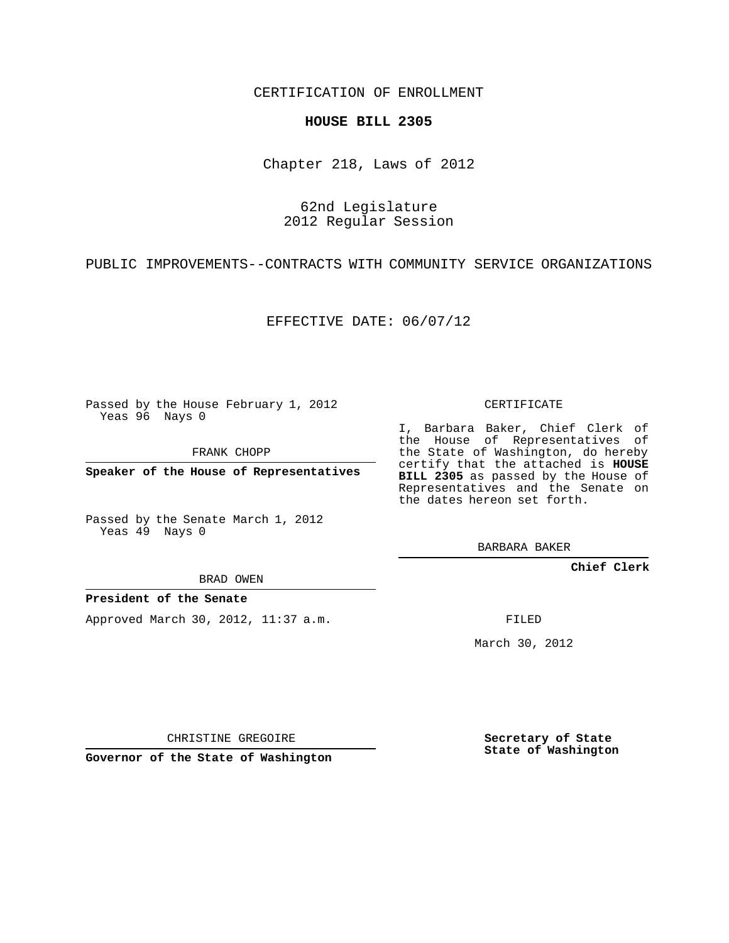CERTIFICATION OF ENROLLMENT

## **HOUSE BILL 2305**

Chapter 218, Laws of 2012

62nd Legislature 2012 Regular Session

PUBLIC IMPROVEMENTS--CONTRACTS WITH COMMUNITY SERVICE ORGANIZATIONS

EFFECTIVE DATE: 06/07/12

Passed by the House February 1, 2012 Yeas 96 Nays 0

FRANK CHOPP

**Speaker of the House of Representatives**

Passed by the Senate March 1, 2012 Yeas 49 Nays 0

BRAD OWEN

**President of the Senate**

Approved March 30, 2012, 11:37 a.m.

CERTIFICATE

I, Barbara Baker, Chief Clerk of the House of Representatives of the State of Washington, do hereby certify that the attached is **HOUSE BILL 2305** as passed by the House of Representatives and the Senate on the dates hereon set forth.

BARBARA BAKER

**Chief Clerk**

FILED

March 30, 2012

CHRISTINE GREGOIRE

**Governor of the State of Washington**

**Secretary of State State of Washington**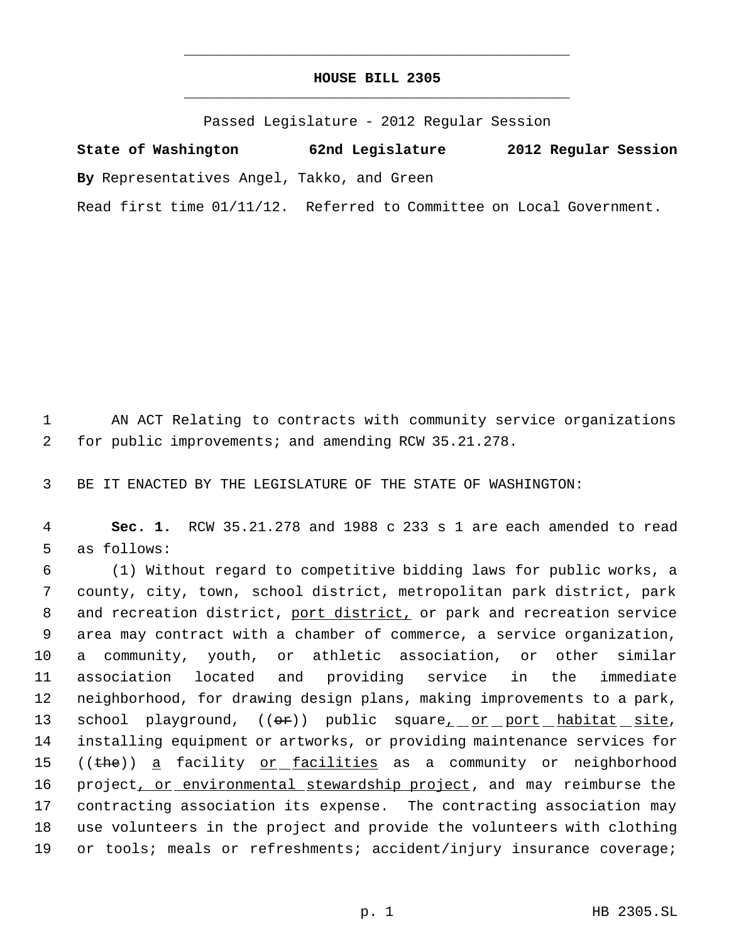## **HOUSE BILL 2305** \_\_\_\_\_\_\_\_\_\_\_\_\_\_\_\_\_\_\_\_\_\_\_\_\_\_\_\_\_\_\_\_\_\_\_\_\_\_\_\_\_\_\_\_\_

\_\_\_\_\_\_\_\_\_\_\_\_\_\_\_\_\_\_\_\_\_\_\_\_\_\_\_\_\_\_\_\_\_\_\_\_\_\_\_\_\_\_\_\_\_

Passed Legislature - 2012 Regular Session

**State of Washington 62nd Legislature 2012 Regular Session By** Representatives Angel, Takko, and Green Read first time 01/11/12. Referred to Committee on Local Government.

 1 AN ACT Relating to contracts with community service organizations 2 for public improvements; and amending RCW 35.21.278.

3 BE IT ENACTED BY THE LEGISLATURE OF THE STATE OF WASHINGTON:

 4 **Sec. 1.** RCW 35.21.278 and 1988 c 233 s 1 are each amended to read 5 as follows:

 (1) Without regard to competitive bidding laws for public works, a county, city, town, school district, metropolitan park district, park 8 and recreation district, port district, or park and recreation service area may contract with a chamber of commerce, a service organization, a community, youth, or athletic association, or other similar association located and providing service in the immediate neighborhood, for drawing design plans, making improvements to a park, 13 school playground,  $((e^+))$  public square<u>, or port habitat site</u>, installing equipment or artworks, or providing maintenance services for 15 ((the)) a facility or facilities as a community or neighborhood 16 project, or environmental stewardship project, and may reimburse the contracting association its expense. The contracting association may use volunteers in the project and provide the volunteers with clothing or tools; meals or refreshments; accident/injury insurance coverage;